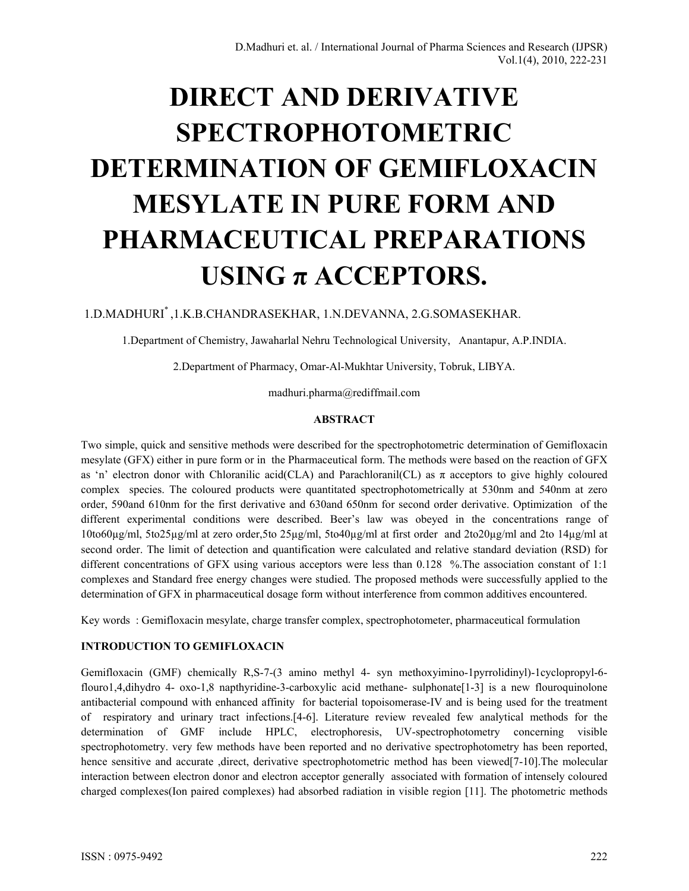# **DIRECT AND DERIVATIVE SPECTROPHOTOMETRIC DETERMINATION OF GEMIFLOXACIN MESYLATE IN PURE FORM AND PHARMACEUTICAL PREPARATIONS USING π ACCEPTORS.**

## 1.D.MADHURI\* ,1.K.B.CHANDRASEKHAR, 1.N.DEVANNA, 2.G.SOMASEKHAR.

1.Department of Chemistry, Jawaharlal Nehru Technological University, Anantapur, A.P.INDIA.

2.Department of Pharmacy, Omar-Al-Mukhtar University, Tobruk, LIBYA.

madhuri.pharma@rediffmail.com

#### **ABSTRACT**

Two simple, quick and sensitive methods were described for the spectrophotometric determination of Gemifloxacin mesylate (GFX) either in pure form or in the Pharmaceutical form. The methods were based on the reaction of GFX as 'n' electron donor with Chloranilic acid(CLA) and Parachloranil(CL) as  $\pi$  acceptors to give highly coloured complex species. The coloured products were quantitated spectrophotometrically at 530nm and 540nm at zero order, 590and 610nm for the first derivative and 630and 650nm for second order derivative. Optimization of the different experimental conditions were described. Beer's law was obeyed in the concentrations range of 10to60µg/ml, 5to25µg/ml at zero order,5to 25µg/ml, 5to40µg/ml at first order and 2to20µg/ml and 2to 14µg/ml at second order. The limit of detection and quantification were calculated and relative standard deviation (RSD) for different concentrations of GFX using various acceptors were less than 0.128 %. The association constant of 1:1 complexes and Standard free energy changes were studied. The proposed methods were successfully applied to the determination of GFX in pharmaceutical dosage form without interference from common additives encountered.

Key words : Gemifloxacin mesylate, charge transfer complex, spectrophotometer, pharmaceutical formulation

## **INTRODUCTION TO GEMIFLOXACIN**

Gemifloxacin (GMF) chemically R,S-7-(3 amino methyl 4- syn methoxyimino-1pyrrolidinyl)-1cyclopropyl-6 flouro1,4,dihydro 4- oxo-1,8 napthyridine-3-carboxylic acid methane- sulphonate[1-3] is a new flouroquinolone antibacterial compound with enhanced affinity for bacterial topoisomerase-IV and is being used for the treatment of respiratory and urinary tract infections.[4-6]. Literature review revealed few analytical methods for the determination of GMF include HPLC, electrophoresis, UV-spectrophotometry concerning visible spectrophotometry. very few methods have been reported and no derivative spectrophotometry has been reported, hence sensitive and accurate ,direct, derivative spectrophotometric method has been viewed[7-10]. The molecular interaction between electron donor and electron acceptor generally associated with formation of intensely coloured charged complexes(Ion paired complexes) had absorbed radiation in visible region [11]. The photometric methods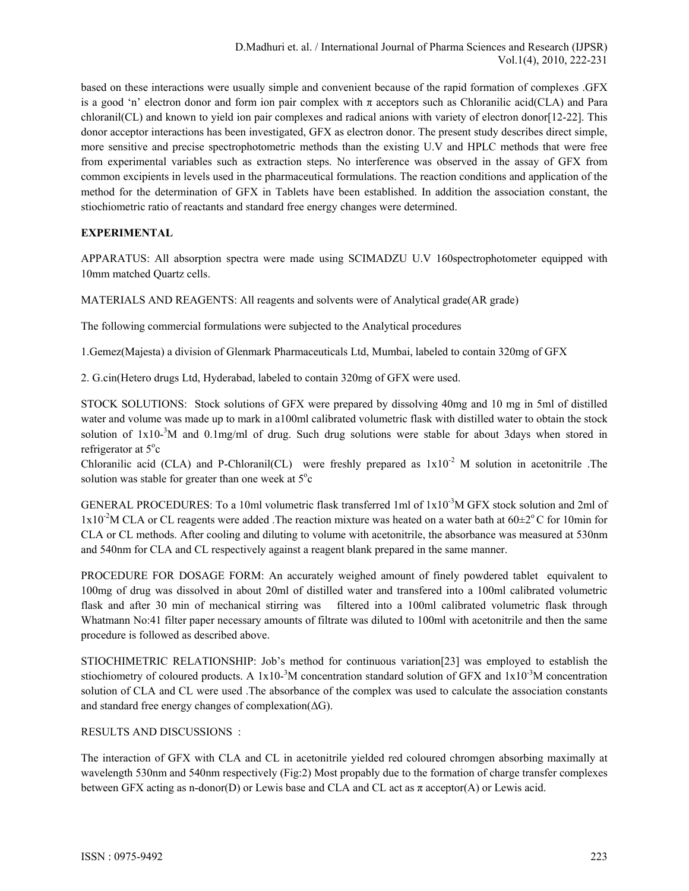based on these interactions were usually simple and convenient because of the rapid formation of complexes .GFX is a good 'n' electron donor and form ion pair complex with  $\pi$  acceptors such as Chloranilic acid(CLA) and Para chloranil(CL) and known to yield ion pair complexes and radical anions with variety of electron donor[12-22]. This donor acceptor interactions has been investigated, GFX as electron donor. The present study describes direct simple, more sensitive and precise spectrophotometric methods than the existing U.V and HPLC methods that were free from experimental variables such as extraction steps. No interference was observed in the assay of GFX from common excipients in levels used in the pharmaceutical formulations. The reaction conditions and application of the method for the determination of GFX in Tablets have been established. In addition the association constant, the stiochiometric ratio of reactants and standard free energy changes were determined.

## **EXPERIMENTAL**

APPARATUS: All absorption spectra were made using SCIMADZU U.V 160spectrophotometer equipped with 10mm matched Quartz cells.

MATERIALS AND REAGENTS: All reagents and solvents were of Analytical grade(AR grade)

The following commercial formulations were subjected to the Analytical procedures

1.Gemez(Majesta) a division of Glenmark Pharmaceuticals Ltd, Mumbai, labeled to contain 320mg of GFX

2. G.cin(Hetero drugs Ltd, Hyderabad, labeled to contain 320mg of GFX were used.

STOCK SOLUTIONS: Stock solutions of GFX were prepared by dissolving 40mg and 10 mg in 5ml of distilled water and volume was made up to mark in a100ml calibrated volumetric flask with distilled water to obtain the stock solution of  $1x10^{-3}$ M and  $0.1$ mg/ml of drug. Such drug solutions were stable for about 3days when stored in refrigerator at 5°c

Chloranilic acid (CLA) and P-Chloranil(CL) were freshly prepared as  $1x10^{-2}$  M solution in acetonitrile .The solution was stable for greater than one week at  $5^{\circ}c$ 

GENERAL PROCEDURES: To a 10ml volumetric flask transferred 1ml of 1x10-3M GFX stock solution and 2ml of  $1x10^{-2}$ M CLA or CL reagents were added . The reaction mixture was heated on a water bath at  $60\pm2^{\circ}$ C for 10min for CLA or CL methods. After cooling and diluting to volume with acetonitrile, the absorbance was measured at 530nm and 540nm for CLA and CL respectively against a reagent blank prepared in the same manner.

PROCEDURE FOR DOSAGE FORM: An accurately weighed amount of finely powdered tablet equivalent to 100mg of drug was dissolved in about 20ml of distilled water and transfered into a 100ml calibrated volumetric flask and after 30 min of mechanical stirring was filtered into a 100ml calibrated volumetric flask through Whatmann No:41 filter paper necessary amounts of filtrate was diluted to 100ml with acetonitrile and then the same procedure is followed as described above.

STIOCHIMETRIC RELATIONSHIP: Job's method for continuous variation[23] was employed to establish the stiochiometry of coloured products. A  $1x10^{-3}M$  concentration standard solution of GFX and  $1x10^{-3}M$  concentration solution of CLA and CL were used .The absorbance of the complex was used to calculate the association constants and standard free energy changes of complexation(ΔG).

## RESULTS AND DISCUSSIONS :

The interaction of GFX with CLA and CL in acetonitrile yielded red coloured chromgen absorbing maximally at wavelength 530nm and 540nm respectively (Fig:2) Most propably due to the formation of charge transfer complexes between GFX acting as n-donor(D) or Lewis base and CLA and CL act as  $\pi$  acceptor(A) or Lewis acid.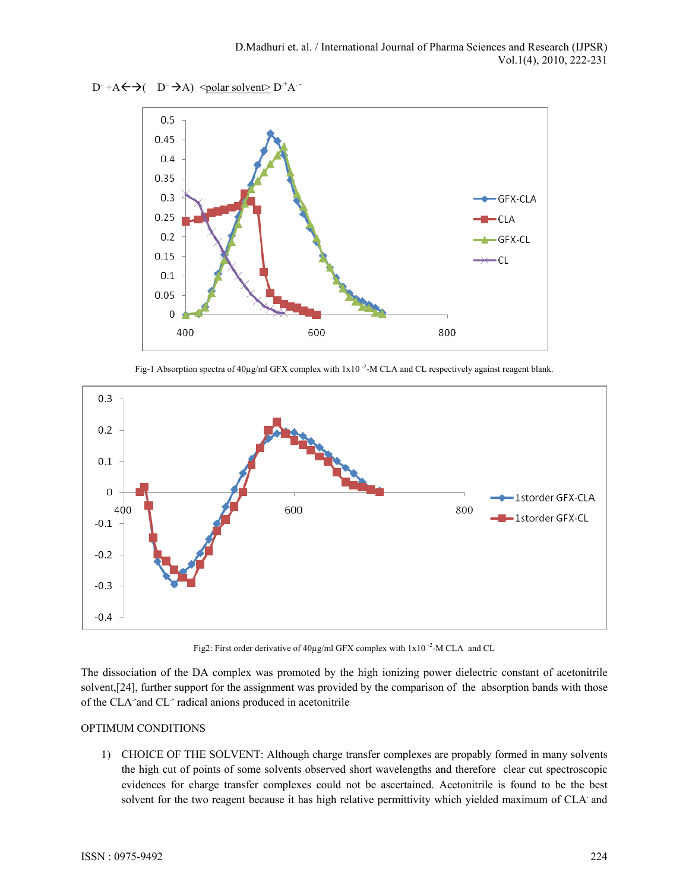



Fig-1 Absorption spectra of  $40\mu\text{g/ml}$  GFX complex with  $1x10^{-2}$ -M CLA and CL respectively against reagent blank.



Fig2: First order derivative of 40µg/ml GFX complex with 1x10<sup>-2</sup>-M CLA and CL

The dissociation of the DA complex was promoted by the high ionizing power dielectric constant of acetonitrile solvent,[24], further support for the assignment was provided by the comparison of the absorption bands with those of the CLA and CL<sup>-</sup>radical anions produced in acetonitrile

## OPTIMUM CONDITIONS

1) CHOICE OF THE SOLVENT: Although charge transfer complexes are propably formed in many solvents the high cut of points of some solvents observed short wavelengths and therefore clear cut spectroscopic evidences for charge transfer complexes could not be ascertained. Acetonitrile is found to be the best solvent for the two reagent because it has high relative permittivity which yielded maximum of CLA and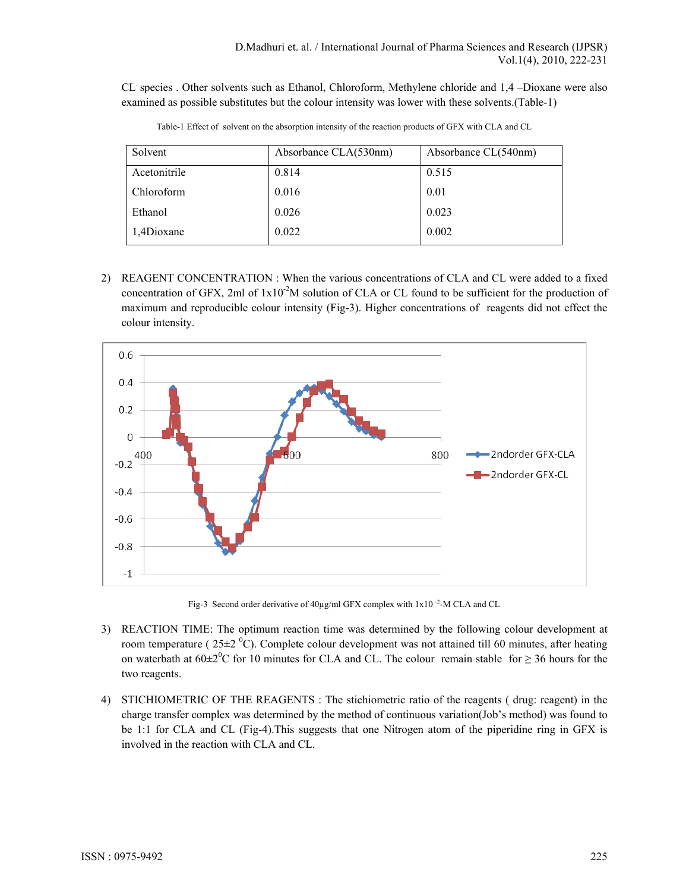CL. species . Other solvents such as Ethanol, Chloroform, Methylene chloride and 1,4 –Dioxane were also examined as possible substitutes but the colour intensity was lower with these solvents.(Table-1)

| Solvent      | Absorbance CLA(530nm) | Absorbance CL(540nm) |
|--------------|-----------------------|----------------------|
| Acetonitrile | 0.814                 | 0.515                |
| Chloroform   | 0.016                 | 0.01                 |
| Ethanol      | 0.026                 | 0.023                |
| 1,4Dioxane   | 0.022                 | 0.002                |

Table-1 Effect of solvent on the absorption intensity of the reaction products of GFX with CLA and CL

2) REAGENT CONCENTRATION : When the various concentrations of CLA and CL were added to a fixed concentration of GFX, 2ml of  $1x10<sup>-2</sup>M$  solution of CLA or CL found to be sufficient for the production of maximum and reproducible colour intensity (Fig-3). Higher concentrations of reagents did not effect the colour intensity.



Fig-3 Second order derivative of 40µg/ml GFX complex with 1x10<sup>-2</sup>-M CLA and CL

- 3) REACTION TIME: The optimum reaction time was determined by the following colour development at room temperature ( $25\pm2~^0$ C). Complete colour development was not attained till 60 minutes, after heating on waterbath at  $60\pm2\textsuperscript{0}C$  for 10 minutes for CLA and CL. The colour remain stable for  $\geq 36$  hours for the two reagents.
- 4) STICHIOMETRIC OF THE REAGENTS : The stichiometric ratio of the reagents ( drug: reagent) in the charge transfer complex was determined by the method of continuous variation(Job's method) was found to be 1:1 for CLA and CL (Fig-4).This suggests that one Nitrogen atom of the piperidine ring in GFX is involved in the reaction with CLA and CL.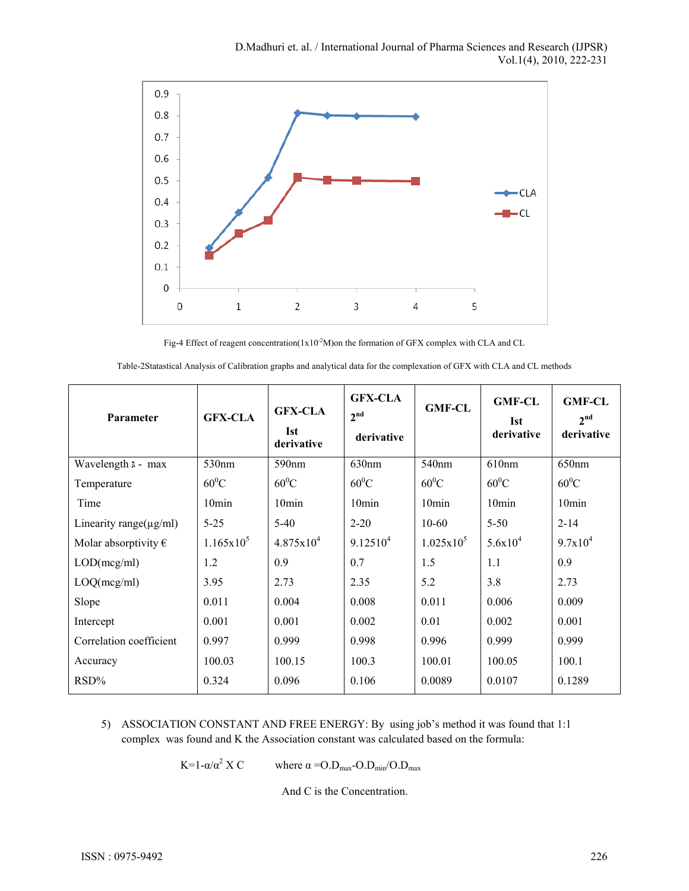

Fig-4 Effect of reagent concentration( $1x10^2M$ )on the formation of GFX complex with CLA and CL

| Parameter                     | <b>GFX-CLA</b>      | <b>GFX-CLA</b><br><b>Ist</b><br>derivative | <b>GFX-CLA</b><br>2 <sup>nd</sup><br>derivative | <b>GMF-CL</b>       | <b>GMF-CL</b><br><b>Ist</b><br>derivative | <b>GMF-CL</b><br>2 <sup>nd</sup><br>derivative |
|-------------------------------|---------------------|--------------------------------------------|-------------------------------------------------|---------------------|-------------------------------------------|------------------------------------------------|
| Wavelength $\lambda$ - max    | 530 <sub>nm</sub>   | 590 <sub>nm</sub>                          | 630nm                                           | 540 <sub>nm</sub>   | 610 <sub>nm</sub>                         | 650 <sub>nm</sub>                              |
| Temperature                   | $60^0C$             | $60^0C$                                    | $60^0C$                                         | $60^0C$             | $60^0C$                                   | $60^0C$                                        |
| Time                          | 10min               | 10 <sub>min</sub>                          | 10 <sub>min</sub>                               | 10 <sub>min</sub>   | 10min                                     | 10 <sub>min</sub>                              |
| Linearity range( $\mu$ g/ml)  | $5 - 25$            | $5-40$                                     | $2 - 20$                                        | $10-60$             | $5 - 50$                                  | $2 - 14$                                       |
| Molar absorptivity $\epsilon$ | $1.165 \times 10^5$ | $4.875 \times 10^{4}$                      | 9.12510 <sup>4</sup>                            | $1.025 \times 10^5$ | $5.6x10^{4}$                              | $9.7x10^4$                                     |
| LOD(mcg/ml)                   | 1.2                 | 0.9                                        | 0.7                                             | 1.5                 | 1.1                                       | 0.9                                            |
| LOQ(mcg/ml)                   | 3.95                | 2.73                                       | 2.35                                            | 5.2                 | 3.8                                       | 2.73                                           |
| Slope                         | 0.011               | 0.004                                      | 0.008                                           | 0.011               | 0.006                                     | 0.009                                          |
| Intercept                     | 0.001               | 0.001                                      | 0.002                                           | 0.01                | 0.002                                     | 0.001                                          |
| Correlation coefficient       | 0.997               | 0.999                                      | 0.998                                           | 0.996               | 0.999                                     | 0.999                                          |
| Accuracy                      | 100.03              | 100.15                                     | 100.3                                           | 100.01              | 100.05                                    | 100.1                                          |
| RSD%                          | 0.324               | 0.096                                      | 0.106                                           | 0.0089              | 0.0107                                    | 0.1289                                         |

Table-2Statastical Analysis of Calibration graphs and analytical data for the complexation of GFX with CLA and CL methods

5) ASSOCIATION CONSTANT AND FREE ENERGY: By using job's method it was found that 1:1 complex was found and K the Association constant was calculated based on the formula:

> K=1-α/α<sup>2</sup> Χ C where  $\alpha = O.D_{max} - O.D_{min}/O.D_{max}$

> > And C is the Concentration.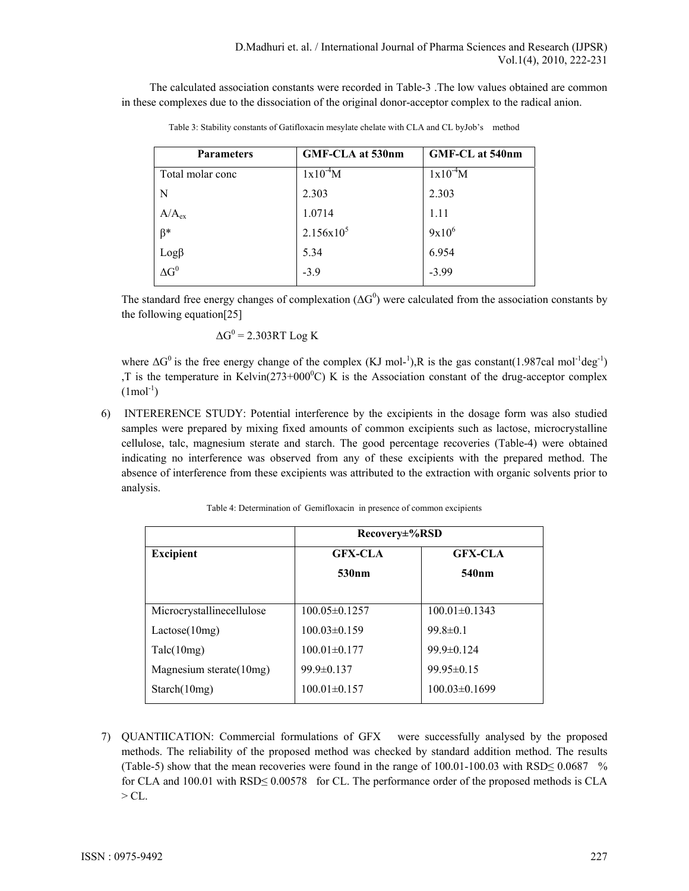The calculated association constants were recorded in Table-3 .The low values obtained are common in these complexes due to the dissociation of the original donor-acceptor complex to the radical anion.

| <b>Parameters</b>              | GMF-CLA at 530nm | <b>GMF-CL at 540nm</b> |
|--------------------------------|------------------|------------------------|
| Total molar conc               | $1x10^{-4}M$     | $1x10^{-4}M$           |
| N                              | 2.303            | 2.303                  |
| $A/A_{ex}$                     | 1.0714           | 1.11                   |
| $\beta^*$                      | $2.156x10^{5}$   | $9x10^6$               |
| $\text{Log}\beta$ $\Delta G^0$ | 5.34             | 6.954                  |
|                                | $-3.9$           | $-3.99$                |

Table 3: Stability constants of Gatifloxacin mesylate chelate with CLA and CL byJob's method

The standard free energy changes of complexation ( $\Delta G^0$ ) were calculated from the association constants by the following equation[25]

$$
\Delta G^0 = 2.303RT \text{ Log K}
$$

where  $\Delta G^0$  is the free energy change of the complex (KJ mol-<sup>1</sup>),R is the gas constant(1.987cal mol<sup>-1</sup>deg<sup>-1</sup>) T is the temperature in Kelvin( $273+000^{\circ}$ C) K is the Association constant of the drug-acceptor complex  $(1 \text{mol}^{-1})$ 

6) INTERERENCE STUDY: Potential interference by the excipients in the dosage form was also studied samples were prepared by mixing fixed amounts of common excipients such as lactose, microcrystalline cellulose, talc, magnesium sterate and starch. The good percentage recoveries (Table-4) were obtained indicating no interference was observed from any of these excipients with the prepared method. The absence of interference from these excipients was attributed to the extraction with organic solvents prior to analysis.

|                           | Recovery±%RSD       |                     |  |  |
|---------------------------|---------------------|---------------------|--|--|
| <b>Excipient</b>          | <b>GFX-CLA</b>      | <b>GFX-CLA</b>      |  |  |
|                           | 530 <sub>nm</sub>   | 540 <sub>nm</sub>   |  |  |
|                           |                     |                     |  |  |
| Microcrystallinecellulose | $100.05 \pm 0.1257$ | $100.01 \pm 0.1343$ |  |  |
| Lactose(10mg)             | $100.03 \pm 0.159$  | $99.8 \pm 0.1$      |  |  |
| Talc(10mg)                | $100.01 \pm 0.177$  | $99.9 \pm 0.124$    |  |  |
| Magnesium sterate(10mg)   | $99.9 \pm 0.137$    | $99.95 \pm 0.15$    |  |  |
| Starch(10mg)              | $100.01 \pm 0.157$  | $100.03\pm0.1699$   |  |  |

Table 4: Determination of Gemifloxacin in presence of common excipients

7) QUANTIICATION: Commercial formulations of GFX were successfully analysed by the proposed methods. The reliability of the proposed method was checked by standard addition method. The results (Table-5) show that the mean recoveries were found in the range of  $100.01-100.03$  with  $RSD \le 0.0687$  % for CLA and 100.01 with RSD≤ 0.00578 for CL. The performance order of the proposed methods is CLA  $> CL$ .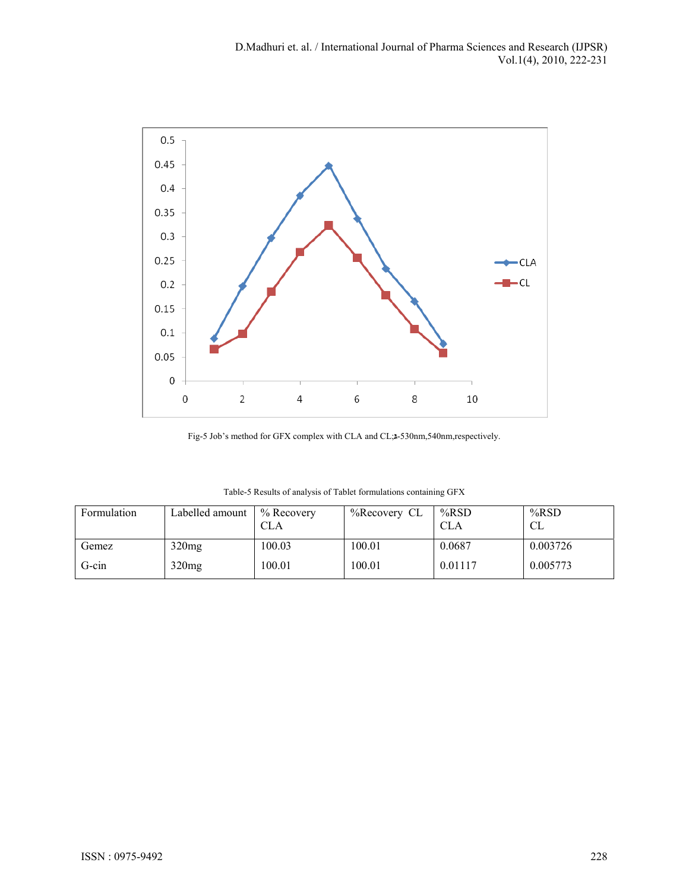

Fig-5 Job's method for GFX complex with CLA and CL;**גּ**-530nm,540nm,respectively.

| Formulation | Labelled amount   | $%$ Recovery<br>CLA | %Recovery CL | $%$ RSD<br><b>CLA</b> | $%$ RSD<br>CL |
|-------------|-------------------|---------------------|--------------|-----------------------|---------------|
| Gemez       | 320mg             | 100.03              | 100.01       | 0.0687                | 0.003726      |
| G-cin       | 320 <sub>mg</sub> | 100.01              | 100.01       | 0.01117               | 0.005773      |

Table-5 Results of analysis of Tablet formulations containing GFX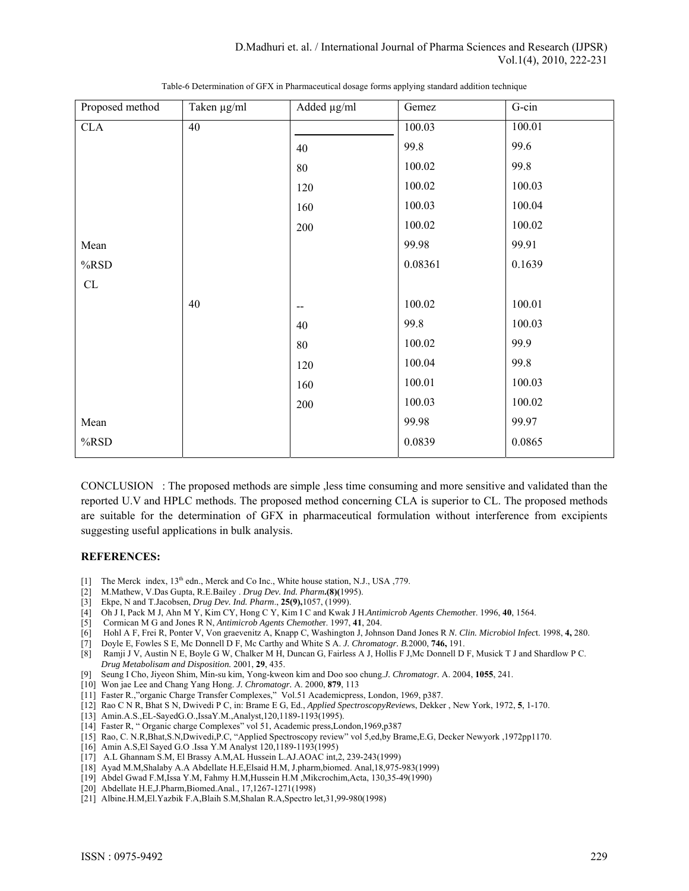| Proposed method | Taken µg/ml | Added µg/ml              | Gemez   | G-cin  |
|-----------------|-------------|--------------------------|---------|--------|
| CLA             | 40          |                          | 100.03  | 100.01 |
|                 |             | 40                       | 99.8    | 99.6   |
|                 |             | 80                       | 100.02  | 99.8   |
|                 |             | 120                      | 100.02  | 100.03 |
|                 |             | 160                      | 100.03  | 100.04 |
|                 |             | 200                      | 100.02  | 100.02 |
| Mean            |             |                          | 99.98   | 99.91  |
| %RSD            |             |                          | 0.08361 | 0.1639 |
| ${\rm CL}$      |             |                          |         |        |
|                 | 40          | $\overline{\phantom{m}}$ | 100.02  | 100.01 |
|                 |             | 40                       | 99.8    | 100.03 |
|                 |             | $80\,$                   | 100.02  | 99.9   |
|                 |             | 120                      | 100.04  | 99.8   |
|                 |             | 160                      | 100.01  | 100.03 |
|                 |             | 200                      | 100.03  | 100.02 |
| Mean            |             |                          | 99.98   | 99.97  |
| %RSD            |             |                          | 0.0839  | 0.0865 |

Table-6 Determination of GFX in Pharmaceutical dosage forms applying standard addition technique

CONCLUSION : The proposed methods are simple ,less time consuming and more sensitive and validated than the reported U.V and HPLC methods. The proposed method concerning CLA is superior to CL. The proposed methods are suitable for the determination of GFX in pharmaceutical formulation without interference from excipients suggesting useful applications in bulk analysis.

#### **REFERENCES:**

- [1] The Merck index, 13<sup>th</sup> edn., Merck and Co Inc., White house station, N.J., USA ,779.
- [2] M.Mathew, V.Das Gupta, R.E.Bailey . *Drug Dev. Ind. Pharm***.(8)(**1995).
- [3] Ekpe, N and T.Jacobsen, *Drug Dev. Ind. Pharm*., **25(9),**1057, (1999).
- [4] Oh J I, Pack M J, Ahn M Y, Kim CY, Hong C Y, Kim I C and Kwak J H.*Antimicrob Agents Chemothe*r. 1996, **40**, 1564.
- [5] Cormican M G and Jones R N, *Antimicrob Agents Chemothe*r. 1997, **41**, 204.
- [6] Hohl A F, Frei R, Ponter V, Von graevenitz A, Knapp C, Washington J, Johnson Dand Jones R *N. Clin. Microbiol Infec*t. 1998, **4,** 280.
- [7] Doyle E, Fowles S E, Mc Donnell D F, Mc Carthy and White S A. *J. Chromatogr. B.*2000, **746,** 191.
- [8] Ramji J V, Austin N E, Boyle G W, Chalker M H, Duncan G, Fairless A J, Hollis F J,Mc Donnell D F, Musick T J and Shardlow P C. *Drug Metabolisam and Disposition.* 2001, **29**, 435.
- [9] Seung I Cho, Jiyeon Shim, Min-su kim, Yong-kweon kim and Doo soo chung.*J. Chromatogr.* A. 2004, **1055**, 241.
- [10] Won jae Lee and Chang Yang Hong. *J. Chromatogr.* A. 2000, **879**, 113
- [11] Faster R.,"organic Charge Transfer Complexes," Vol.51 Academicpress, London, 1969, p387.
- [12] Rao C N R, Bhat S N, Dwivedi P C, in: Brame E G, Ed., *Applied SpectroscopyReview*s, Dekker , New York, 1972, **5**, 1-170.
- [13] Amin.A.S., EL-SayedG.O., Issa Y.M., Analyst, 120, 1189-1193(1995).
- [14] Faster R, " Organic charge Complexes" vol 51, Academic press,London,1969,p387
- [15] Rao, C. N.R,Bhat,S.N,Dwivedi,P.C, "Applied Spectroscopy review" vol 5,ed,by Brame,E.G, Decker Newyork ,1972pp1170.
- [16] Amin A.S,El Sayed G.O .Issa Y.M Analyst 120,1189-1193(1995)
- [17] A.L Ghannam S.M, El Brassy A.M,AL Hussein L.AJ.AOAC int,2, 239-243(1999)
- [18] Ayad M.M,Shalaby A.A Abdellate H.E,Elsaid H.M, J.pharm,biomed. Anal,18,975-983(1999)
- [19] Abdel Gwad F.M,Issa Y.M, Fahmy H.M,Hussein H.M ,Mikcrochim,Acta, 130,35-49(1990)
- [20] Abdellate H.E,J.Pharm,Biomed.Anal., 17,1267-1271(1998)
- [21] Albine.H.M,El.Yazbik F.A,Blaih S.M,Shalan R.A,Spectro let,31,99-980(1998)